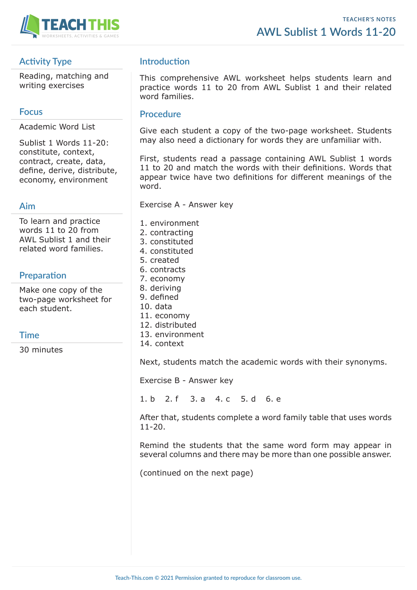

# **Activity Type**

Reading, matching and writing exercises

### **Focus**

Academic Word List

Sublist 1 Words 11-20: constitute, context, contract, create, data, define, derive, distribute, economy, environment

### **Aim**

To learn and practice words 11 to 20 from AWL Sublist 1 and their related word families.

# **Preparation**

Make one copy of the two-page worksheet for each student.

### **Time**

30 minutes

## **Introduction**

This comprehensive AWL worksheet helps students learn and practice words 11 to 20 from AWL Sublist 1 and their related word families.

#### **Procedure**

Give each student a copy of the two-page worksheet. Students may also need a dictionary for words they are unfamiliar with.

First, students read a passage containing AWL Sublist 1 words 11 to 20 and match the words with their definitions. Words that appear twice have two definitions for different meanings of the word.

Exercise A - Answer key

- 1. environment
- 2. contracting
- 3. constituted
- 4. constituted
- 5. created
- 6. contracts
- 7. economy
- 8. deriving
- 9. defined
- 10. data
- 11. economy
- 12. distributed
- 13. environment
- 14. context

Next, students match the academic words with their synonyms.

Exercise B - Answer key

1. b 2. f 3. a 4. c 5. d 6. e

After that, students complete a word family table that uses words 11-20.

Remind the students that the same word form may appear in several columns and there may be more than one possible answer.

(continued on the next page)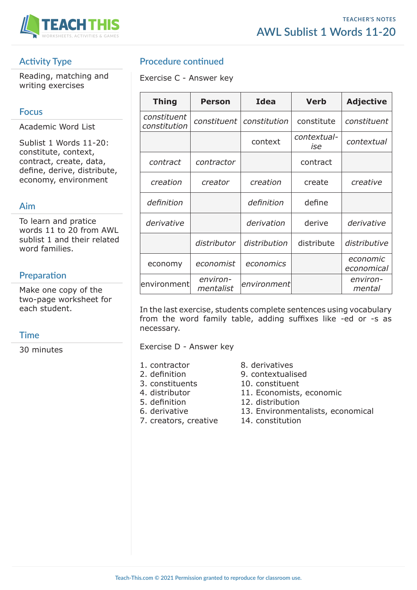

# **Activity Type**

Reading, matching and writing exercises

## **Focus**

Academic Word List

Sublist 1 Words 11-20: constitute, context, contract, create, data, define, derive, distribute, economy, environment

### **Aim**

To learn and pratice words 11 to 20 from AWL sublist 1 and their related word families.

# **Preparation**

Make one copy of the two-page worksheet for each student.

### **Time**

30 minutes

# **Procedure continued**

Exercise C - Answer key

| <b>Thing</b>                | <b>Person</b>         | Idea         | <b>Verb</b>        | <b>Adjective</b>       |
|-----------------------------|-----------------------|--------------|--------------------|------------------------|
| constituent<br>constitution | constituent           | constitution | constitute         | constituent            |
|                             |                       | context      | contextual-<br>ise | contextual             |
| contract                    | contractor            |              | contract           |                        |
| creation                    | creator               | creation     | create             | creative               |
| definition                  |                       | definition   | define             |                        |
| derivative                  |                       | derivation   | derive             | derivative             |
|                             | distributor           | distribution | distribute         | distributive           |
| economy                     | economist             | economics    |                    | economic<br>economical |
| environment                 | environ-<br>mentalist | environment  |                    | environ-<br>mental     |

In the last exercise, students complete sentences using vocabulary from the word family table, adding suffixes like -ed or -s as necessary.

Exercise D - Answer key

- 
- 
- 
- 
- 
- 
- 7. creators, creative 14. constitution
- 1. contractor 8. derivatives
- 2. definition 9. contextualised
- 3. constituents 10. constituent<br>4. distributor 11. Economists
	- 11. Economists, economic
- 5. definition 12. distribution
- 6. derivative 13. Environmentalists, economical
	-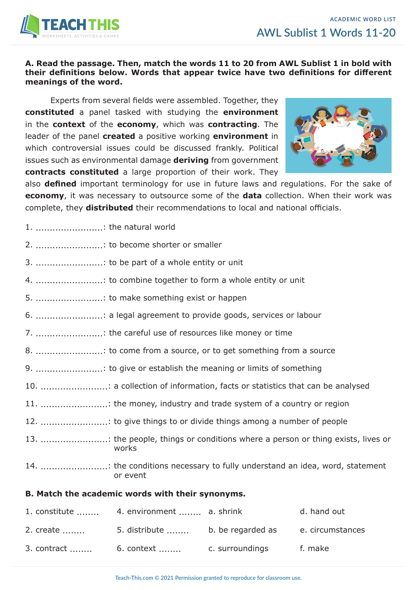

#### **A. Read the passage. Then, match the words 11 to 20 from AWL Sublist 1 in bold with their definitions below. Words that appear twice have two definitions for different meanings of the word.**

Experts from several fields were assembled. Together, they **constituted** a panel tasked with studying the **environment** in the **context** of the **economy**, which was **contracting**. The leader of the panel **created** a positive working **environment** in which controversial issues could be discussed frankly. Political issues such as environmental damage **deriving** from government **contracts constituted** a large proportion of their work. They



also **defined** important terminology for use in future laws and regulations. For the sake of **economy**, it was necessary to outsource some of the **data** collection. When their work was complete, they **distributed** their recommendations to local and national officials.

| 1. : the natural world                                                                   |                                                                                         |  |             |  |  |  |
|------------------------------------------------------------------------------------------|-----------------------------------------------------------------------------------------|--|-------------|--|--|--|
| 2. : to become shorter or smaller                                                        |                                                                                         |  |             |  |  |  |
|                                                                                          | 3. : to be part of a whole entity or unit                                               |  |             |  |  |  |
|                                                                                          | 4. : to combine together to form a whole entity or unit                                 |  |             |  |  |  |
|                                                                                          | 5. : to make something exist or happen                                                  |  |             |  |  |  |
|                                                                                          | 6. : a legal agreement to provide goods, services or labour                             |  |             |  |  |  |
| 7. : the careful use of resources like money or time                                     |                                                                                         |  |             |  |  |  |
| 8. : to come from a source, or to get something from a source                            |                                                                                         |  |             |  |  |  |
| 9. : to give or establish the meaning or limits of something                             |                                                                                         |  |             |  |  |  |
| 10. : a collection of information, facts or statistics that can be analysed              |                                                                                         |  |             |  |  |  |
| 11. : the money, industry and trade system of a country or region                        |                                                                                         |  |             |  |  |  |
| 12. : to give things to or divide things among a number of people                        |                                                                                         |  |             |  |  |  |
| 13. : the people, things or conditions where a person or thing exists, lives or<br>works |                                                                                         |  |             |  |  |  |
|                                                                                          | 14. : the conditions necessary to fully understand an idea, word, statement<br>or event |  |             |  |  |  |
| B. Match the academic words with their synonyms.                                         |                                                                                         |  |             |  |  |  |
|                                                                                          | 1. constitute  4. environment  a. shrink                                                |  | d. hand out |  |  |  |
|                                                                                          | 2. create  5. distribute  b. be regarded as e. circumstances                            |  |             |  |  |  |
| 3. contract                                                                              | 6. context  c. surroundings                                                             |  | f. make     |  |  |  |